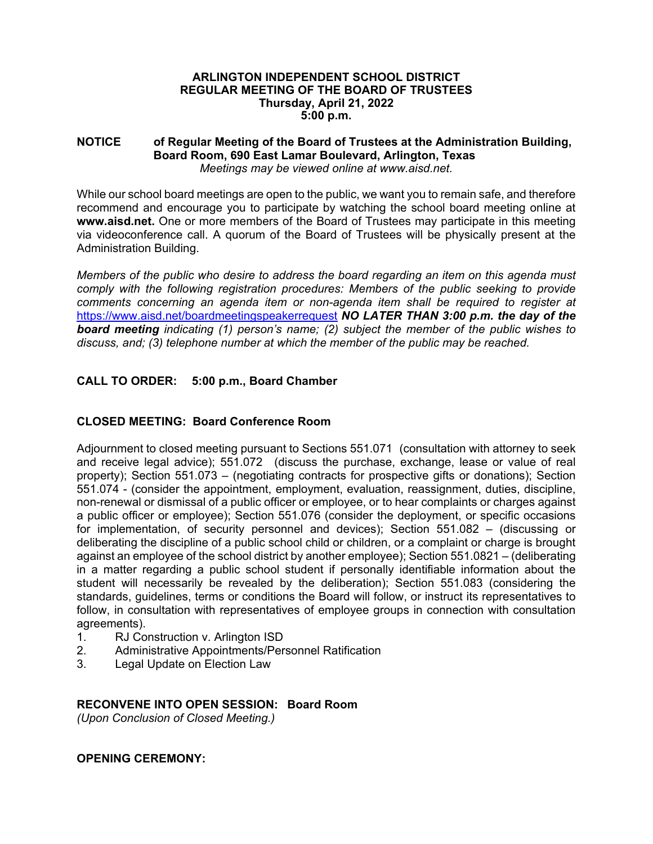#### **ARLINGTON INDEPENDENT SCHOOL DISTRICT REGULAR MEETING OF THE BOARD OF TRUSTEES Thursday, April 21, 2022 5:00 p.m.**

#### **NOTICE of Regular Meeting of the Board of Trustees at the Administration Building, Board Room, 690 East Lamar Boulevard, Arlington, Texas**  *Meetings may be viewed online at www.aisd.net.*

While our school board meetings are open to the public, we want you to remain safe, and therefore recommend and encourage you to participate by watching the school board meeting online at **www.aisd.net.** One or more members of the Board of Trustees may participate in this meeting via videoconference call. A quorum of the Board of Trustees will be physically present at the Administration Building.

*Members of the public who desire to address the board regarding an item on this agenda must comply with the following registration procedures: Members of the public seeking to provide comments concerning an agenda item or non-agenda item shall be required to register at*  https://www.aisd.net/boardmeetingspeakerrequest *NO LATER THAN 3:00 p.m. the day of the board meeting indicating (1) person's name; (2) subject the member of the public wishes to discuss, and; (3) telephone number at which the member of the public may be reached.* 

# **CALL TO ORDER: 5:00 p.m., Board Chamber**

# **CLOSED MEETING: Board Conference Room**

Adjournment to closed meeting pursuant to Sections 551.071 (consultation with attorney to seek and receive legal advice); 551.072 (discuss the purchase, exchange, lease or value of real property); Section 551.073 – (negotiating contracts for prospective gifts or donations); Section 551.074 - (consider the appointment, employment, evaluation, reassignment, duties, discipline, non-renewal or dismissal of a public officer or employee, or to hear complaints or charges against a public officer or employee); Section 551.076 (consider the deployment, or specific occasions for implementation, of security personnel and devices); Section 551.082 – (discussing or deliberating the discipline of a public school child or children, or a complaint or charge is brought against an employee of the school district by another employee); Section 551.0821 – (deliberating in a matter regarding a public school student if personally identifiable information about the student will necessarily be revealed by the deliberation); Section 551.083 (considering the standards, guidelines, terms or conditions the Board will follow, or instruct its representatives to follow, in consultation with representatives of employee groups in connection with consultation agreements).

- 1. RJ Construction v. Arlington ISD
- 2. Administrative Appointments/Personnel Ratification
- 3. Legal Update on Election Law

#### **RECONVENE INTO OPEN SESSION: Board Room**

*(Upon Conclusion of Closed Meeting.)* 

## **OPENING CEREMONY:**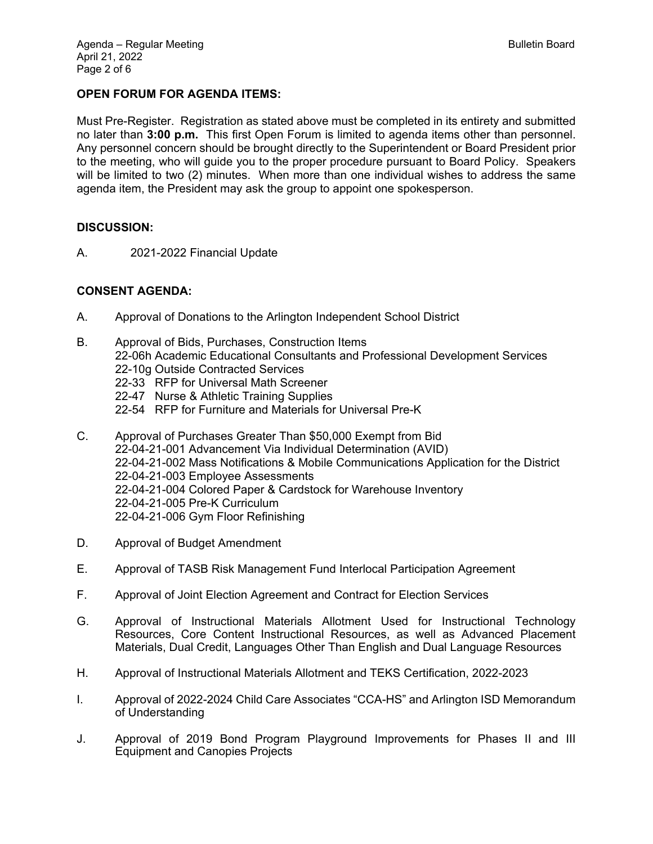## **OPEN FORUM FOR AGENDA ITEMS:**

Must Pre-Register. Registration as stated above must be completed in its entirety and submitted no later than **3:00 p.m.** This first Open Forum is limited to agenda items other than personnel. Any personnel concern should be brought directly to the Superintendent or Board President prior to the meeting, who will guide you to the proper procedure pursuant to Board Policy. Speakers will be limited to two (2) minutes. When more than one individual wishes to address the same agenda item, the President may ask the group to appoint one spokesperson.

#### **DISCUSSION:**

A. 2021-2022 Financial Update

#### **CONSENT AGENDA:**

- A. Approval of Donations to the Arlington Independent School District
- B. Approval of Bids, Purchases, Construction Items 22-06h Academic Educational Consultants and Professional Development Services 22-10g Outside Contracted Services 22-33 RFP for Universal Math Screener 22-47 Nurse & Athletic Training Supplies 22-54 RFP for Furniture and Materials for Universal Pre-K C. Approval of Purchases Greater Than \$50,000 Exempt from Bid
- 22-04-21-001 Advancement Via Individual Determination (AVID) 22-04-21-002 Mass Notifications & Mobile Communications Application for the District 22-04-21-003 Employee Assessments 22-04-21-004 Colored Paper & Cardstock for Warehouse Inventory 22-04-21-005 Pre-K Curriculum 22-04-21-006 Gym Floor Refinishing
- D. Approval of Budget Amendment
- E. Approval of TASB Risk Management Fund Interlocal Participation Agreement
- F. Approval of Joint Election Agreement and Contract for Election Services
- G. Approval of Instructional Materials Allotment Used for Instructional Technology Resources, Core Content Instructional Resources, as well as Advanced Placement Materials, Dual Credit, Languages Other Than English and Dual Language Resources
- H. Approval of Instructional Materials Allotment and TEKS Certification, 2022-2023
- I. Approval of 2022-2024 Child Care Associates "CCA-HS" and Arlington ISD Memorandum of Understanding
- J. Approval of 2019 Bond Program Playground Improvements for Phases II and III Equipment and Canopies Projects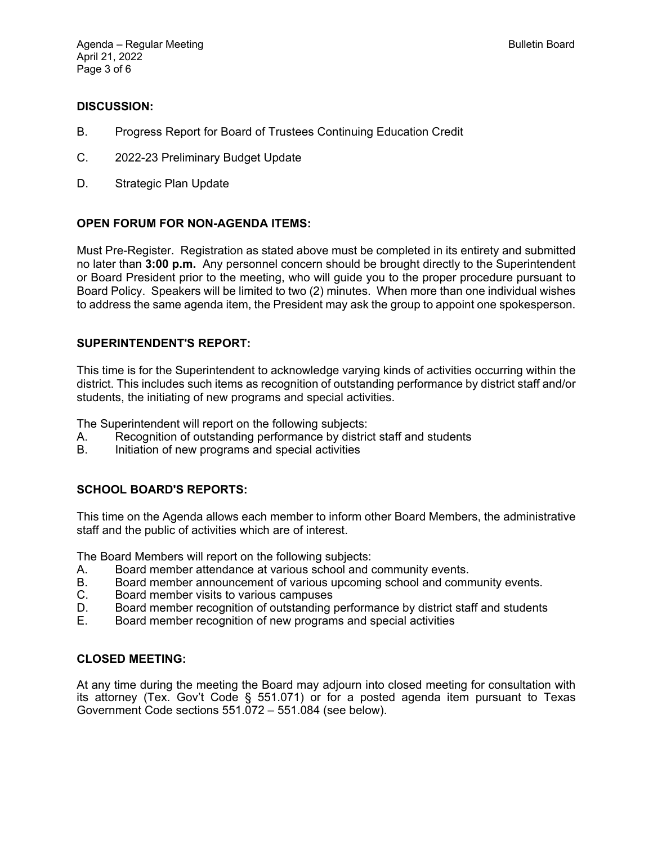#### **DISCUSSION:**

- B. Progress Report for Board of Trustees Continuing Education Credit
- C. 2022-23 Preliminary Budget Update
- D. Strategic Plan Update

## **OPEN FORUM FOR NON-AGENDA ITEMS:**

Must Pre-Register. Registration as stated above must be completed in its entirety and submitted no later than **3:00 p.m.** Any personnel concern should be brought directly to the Superintendent or Board President prior to the meeting, who will guide you to the proper procedure pursuant to Board Policy. Speakers will be limited to two (2) minutes. When more than one individual wishes to address the same agenda item, the President may ask the group to appoint one spokesperson.

## **SUPERINTENDENT'S REPORT:**

This time is for the Superintendent to acknowledge varying kinds of activities occurring within the district. This includes such items as recognition of outstanding performance by district staff and/or students, the initiating of new programs and special activities.

The Superintendent will report on the following subjects:

- A. Recognition of outstanding performance by district staff and students
- B. Initiation of new programs and special activities

#### **SCHOOL BOARD'S REPORTS:**

This time on the Agenda allows each member to inform other Board Members, the administrative staff and the public of activities which are of interest.

The Board Members will report on the following subjects:

- A. Board member attendance at various school and community events.
- B. Board member announcement of various upcoming school and community events.
- C. Board member visits to various campuses
- D. Board member recognition of outstanding performance by district staff and students
- E. Board member recognition of new programs and special activities

#### **CLOSED MEETING:**

At any time during the meeting the Board may adjourn into closed meeting for consultation with its attorney (Tex. Gov't Code § 551.071) or for a posted agenda item pursuant to Texas Government Code sections 551.072 – 551.084 (see below).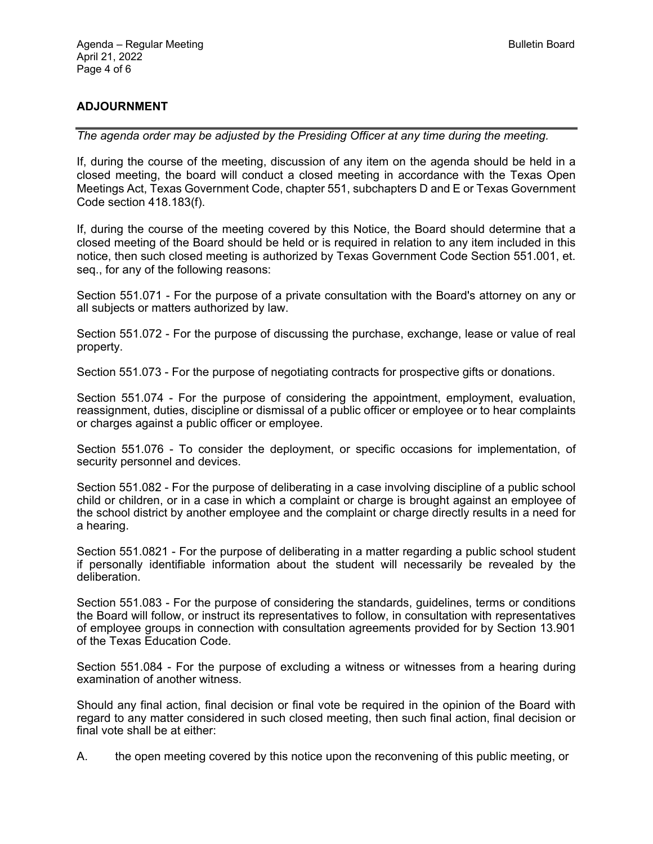# **ADJOURNMENT**

*The agenda order may be adjusted by the Presiding Officer at any time during the meeting.* 

If, during the course of the meeting, discussion of any item on the agenda should be held in a closed meeting, the board will conduct a closed meeting in accordance with the Texas Open Meetings Act, Texas Government Code, chapter 551, subchapters D and E or Texas Government Code section 418.183(f).

If, during the course of the meeting covered by this Notice, the Board should determine that a closed meeting of the Board should be held or is required in relation to any item included in this notice, then such closed meeting is authorized by Texas Government Code Section 551.001, et. seq., for any of the following reasons:

Section 551.071 - For the purpose of a private consultation with the Board's attorney on any or all subjects or matters authorized by law.

Section 551.072 - For the purpose of discussing the purchase, exchange, lease or value of real property.

Section 551.073 - For the purpose of negotiating contracts for prospective gifts or donations.

Section 551.074 - For the purpose of considering the appointment, employment, evaluation, reassignment, duties, discipline or dismissal of a public officer or employee or to hear complaints or charges against a public officer or employee.

Section 551.076 - To consider the deployment, or specific occasions for implementation, of security personnel and devices.

Section 551.082 - For the purpose of deliberating in a case involving discipline of a public school child or children, or in a case in which a complaint or charge is brought against an employee of the school district by another employee and the complaint or charge directly results in a need for a hearing.

Section 551.0821 - For the purpose of deliberating in a matter regarding a public school student if personally identifiable information about the student will necessarily be revealed by the deliberation.

Section 551.083 - For the purpose of considering the standards, guidelines, terms or conditions the Board will follow, or instruct its representatives to follow, in consultation with representatives of employee groups in connection with consultation agreements provided for by Section 13.901 of the Texas Education Code.

Section 551.084 - For the purpose of excluding a witness or witnesses from a hearing during examination of another witness.

Should any final action, final decision or final vote be required in the opinion of the Board with regard to any matter considered in such closed meeting, then such final action, final decision or final vote shall be at either:

A. the open meeting covered by this notice upon the reconvening of this public meeting, or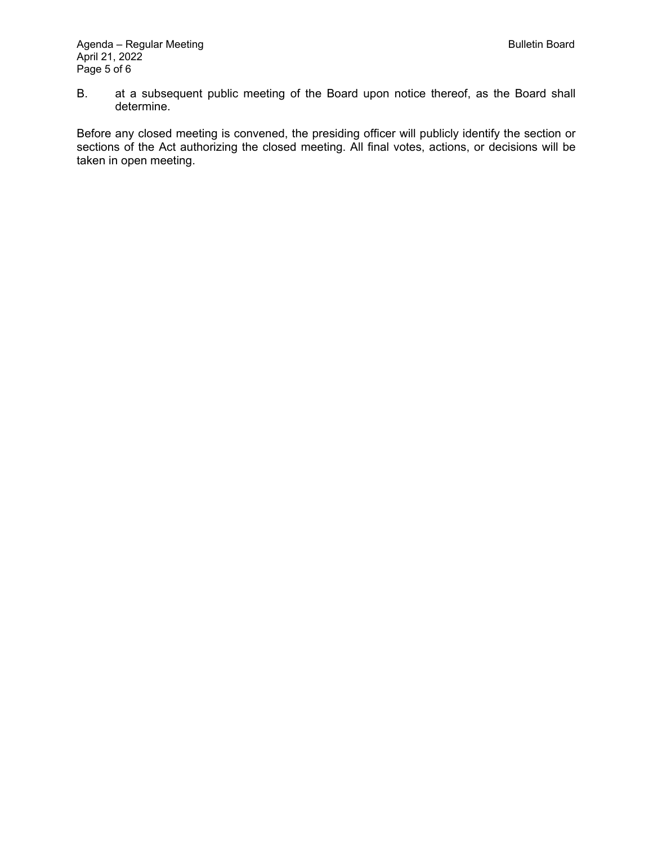B. at a subsequent public meeting of the Board upon notice thereof, as the Board shall determine.

Before any closed meeting is convened, the presiding officer will publicly identify the section or sections of the Act authorizing the closed meeting. All final votes, actions, or decisions will be taken in open meeting.